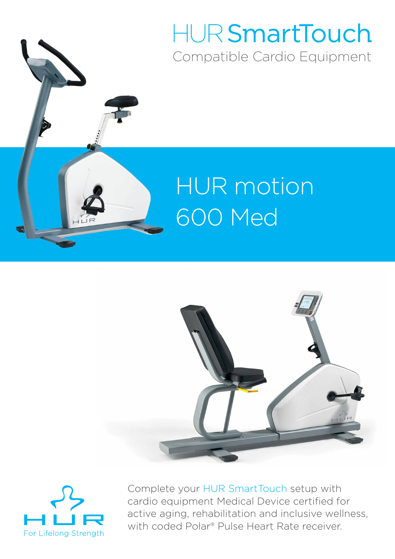## HUR SmartTouch Compatible Cardio Equipment

# HUR motion 600 Med





Complete your HUR SmartTouch setup with cardio equipment Medical Device certified for active aging, rehabilitation and inclusive wellness, with coded Polar® Pulse Heart Rate receiver.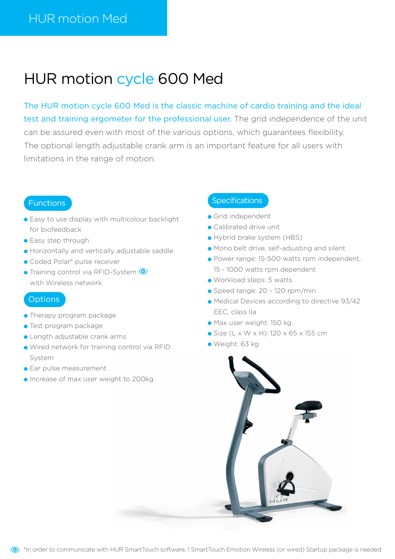### HUR motion cycle 600 Med

The HUR motion cycle 600 Med is the classic machine of cardio training and the ideal test and training ergometer for the professional user. The grid independence of the unit can be assured even with most of the various options, which guarantees flexibility. The optional length adjustable crank arm is an important feature for all users with limitations in the range of motion.

#### Functions

- **Easy to use display with multicolour backlight** for biofeedback
- **Easy step through**
- Horizontally and vertically adjustable saddle
- Coded Polar<sup>®</sup> pulse receiver
- **Training control via RFID-System** with Wireless network

#### **Options**

- **Therapy program package**
- **Test program package**
- Length adjustable crank arms
- Wired network for training control via RFID System
- **Ear pulse measurement**
- **Increase of max user weight to 200kg**

- Grid independent
- Calibrated drive unit
- Hybrid brake system (HBS)
- Mono belt drive, self-adjusting and silent
- Power range: 15-500 watts rpm independent, 15 - 1000 watts rpm dependent
- Workload steps: 5 watts
- Speed range: 20 120 rpm/min
- Medical Devices according to directive 93/42 EEC, class IIa
- Max user weight: 150 kg
- Size (L x W x H): 120 x 65 x 155 cm
- Weight: 63 kg

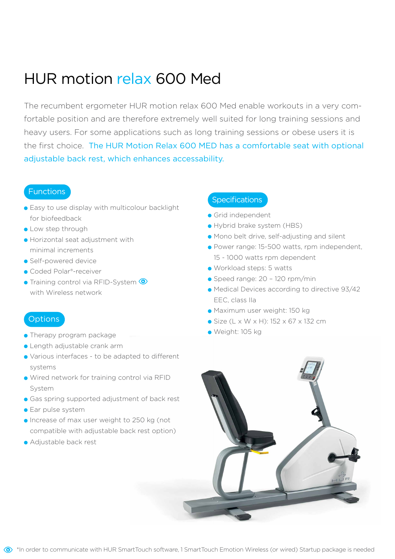### HUR motion relax 600 Med

The recumbent ergometer HUR motion relax 600 Med enable workouts in a very comfortable position and are therefore extremely well suited for long training sessions and heavy users. For some applications such as long training sessions or obese users it is the first choice. The HUR Motion Relax 600 MED has a comfortable seat with optional adjustable back rest, which enhances accessability.

### Functions

- **Easy to use display with multicolour backlight** for biofeedback
- **C** Low step through
- Horizontal seat adjustment with minimal increments
- Self-powered device
- Coded Polar®-receiver
- **Training control via RFID-System <sup>1</sup>** with Wireless network

### **Options**

- Therapy program package
- Length adjustable crank arm
- Various interfaces to be adapted to different systems
- Wired network for training control via RFID System
- **Gas spring supported adjustment of back rest**
- **Ear pulse system**
- **Increase of max user weight to 250 kg (not** compatible with adjustable back rest option)
- Adjustable back rest

- Grid independent
- Hybrid brake system (HBS)
- Mono belt drive, self-adjusting and silent
- Power range: 15-500 watts, rpm independent, 15 - 1000 watts rpm dependent
- Workload steps: 5 watts
- Speed range: 20 120 rpm/min
- Medical Devices according to directive 93/42 EEC, class IIa
- Maximum user weight: 150 kg
- Size (L x W x H): 152 x 67 x 132 cm
- Weight: 105 kg

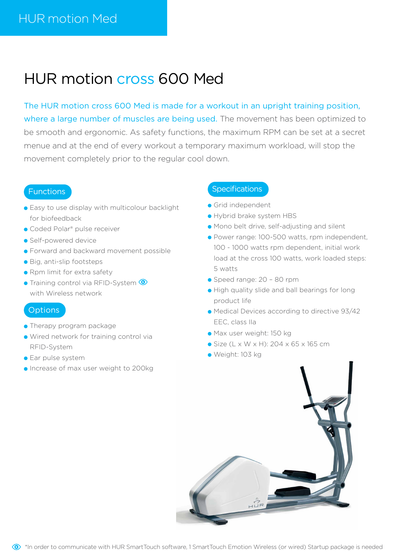### HUR motion cross 600 Med

The HUR motion cross 600 Med is made for a workout in an upright training position, where a large number of muscles are being used. The movement has been optimized to be smooth and ergonomic. As safety functions, the maximum RPM can be set at a secret menue and at the end of every workout a temporary maximum workload, will stop the movement completely prior to the regular cool down.

### Functions

- **Easy to use display with multicolour backlight** for biofeedback
- Coded Polar<sup>®</sup> pulse receiver
- Self-powered device
- **•** Forward and backward movement possible
- Big, anti-slip footsteps
- Rpm limit for extra safety
- **Training control via RFID-System <sup>1</sup>** with Wireless network

#### **Options**

- Therapy program package
- Wired network for training control via RFID-System
- **Ear pulse system**
- **Increase of max user weight to 200kg**

- **Grid independent**
- Hybrid brake system HBS
- Mono belt drive, self-adjusting and silent
- Power range: 100-500 watts, rpm independent, 100 - 1000 watts rpm dependent, initial work load at the cross 100 watts, work loaded steps: 5 watts
- Speed range: 20 80 rpm
- **•** High quality slide and ball bearings for long product life
- Medical Devices according to directive 93/42 EEC, class IIa
- Max user weight: 150 kg
- Size (L x W x H): 204 x 65 x 165 cm
- Weight: 103 kg



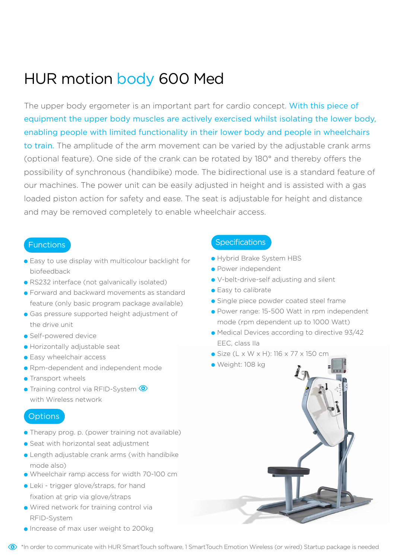### HUR motion body 600 Med

The upper body ergometer is an important part for cardio concept. With this piece of equipment the upper body muscles are actively exercised whilst isolating the lower body, enabling people with limited functionality in their lower body and people in wheelchairs to train. The amplitude of the arm movement can be varied by the adjustable crank arms (optional feature). One side of the crank can be rotated by 180° and thereby offers the possibility of synchronous (handibike) mode. The bidirectional use is a standard feature of our machines. The power unit can be easily adjusted in height and is assisted with a gas loaded piston action for safety and ease. The seat is adjustable for height and distance and may be removed completely to enable wheelchair access.

### **Functions**

- **Easy to use display with multicolour backlight for** biofeedback
- RS232 interface (not galvanically isolated)
- **Forward and backward movements as standard** feature (only basic program package available)
- **Gas pressure supported height adjustment of** the drive unit
- **Self-powered device**
- Horizontally adjustable seat
- **Easy wheelchair access**
- **Rpm-dependent and independent mode**
- **•** Transport wheels
- **Training control via RFID-System ©** with Wireless network

### **Options**

- Therapy prog. p. (power training not available)
- Seat with horizontal seat adjustment
- $\bullet$  Length adjustable crank arms (with handibike mode also)
- Wheelchair ramp access for width 70-100 cm
- Leki trigger glove/straps, for hand fixation at grip via glove/straps
- Wired network for training control via RFID-System
- **Increase of max user weight to 200kg**

- Hybrid Brake System HBS
- **Power independent**
- V-belt-drive-self adjusting and silent
- Easy to calibrate
- **Single piece powder coated steel frame**
- Power range: 15-500 Watt in rpm independent mode (rpm dependent up to 1000 Watt)
- Medical Devices according to directive 93/42 EEC, class IIa
- Size (L x W x H): 116 x 77 x 150 cm
- Weight: 108 kg

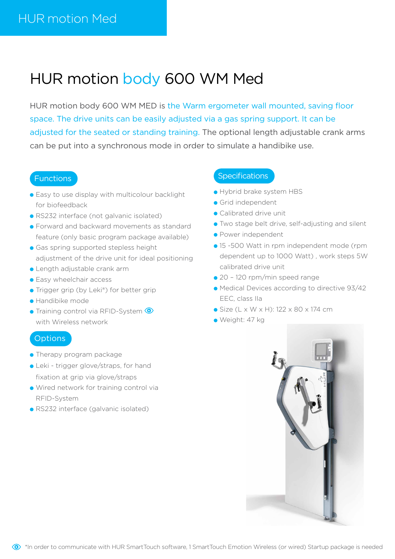### HUR motion body 600 WM Med

HUR motion body 600 WM MED is the Warm ergometer wall mounted, saving floor space. The drive units can be easily adjusted via a gas spring support. It can be adjusted for the seated or standing training. The optional length adjustable crank arms can be put into a synchronous mode in order to simulate a handibike use.

### **Functions**

- Easy to use display with multicolour backlight for biofeedback
- RS232 interface (not galvanic isolated)
- **Forward and backward movements as standard** feature (only basic program package available)
- **Gas spring supported stepless height** adjustment of the drive unit for ideal positioning
- Length adjustable crank arm
- **Easy wheelchair access**
- Trigger grip (by Leki®) for better grip
- Handibike mode
- **Training control via RFID-System <sup>1</sup>** with Wireless network

#### **Options**

- Therapy program package
- Leki trigger glove/straps, for hand fixation at grip via glove/straps
- Wired network for training control via RFID-System
- RS232 interface (galvanic isolated)

- Hybrid brake system HBS
- Grid independent
- Calibrated drive unit
- Two stage belt drive, self-adjusting and silent
- Power independent
- 15 -500 Watt in rpm independent mode (rpm dependent up to 1000 Watt) , work steps 5W calibrated drive unit
- 20 120 rpm/min speed range
- Medical Devices according to directive 93/42 EEC, class IIa
- Size (L x W x H): 122 x 80 x 174 cm
- Weight: 47 kg

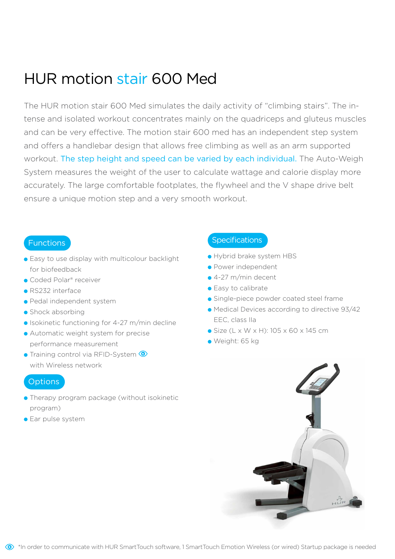### HUR motion stair 600 Med

The HUR motion stair 600 Med simulates the daily activity of "climbing stairs". The intense and isolated workout concentrates mainly on the quadriceps and gluteus muscles and can be very effective. The motion stair 600 med has an independent step system and offers a handlebar design that allows free climbing as well as an arm supported workout. The step height and speed can be varied by each individual. The Auto-Weigh System measures the weight of the user to calculate wattage and calorie display more accurately. The large comfortable footplates, the flywheel and the V shape drive belt ensure a unique motion step and a very smooth workout.

#### **Functions**

- **Easy to use display with multicolour backlight** for biofeedback
- Coded Polar® receiver
- RS232 interface
- Pedal independent system
- Shock absorbing
- Isokinetic functioning for 4-27 m/min decline
- **Automatic weight system for precise** performance measurement
- **Training control via RFID-System ©** with Wireless network

### **Options**

- **Therapy program package (without isokinetic** program)
- **Ear pulse system**

- Hybrid brake system HBS
- Power independent
- 4-27 m/min decent
- Fasy to calibrate
- **Single-piece powder coated steel frame**
- Medical Devices according to directive 93/42 EEC, class IIa
- Size (L x W x H): 105 x 60 x 145 cm
- Weight: 65 kg

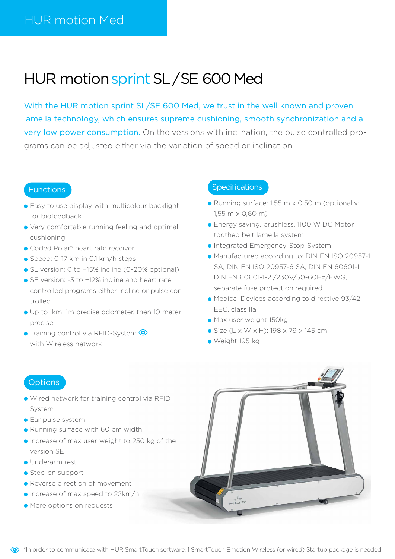### HUR motion sprint SL / SE 600 Med

With the HUR motion sprint SL/SE 600 Med, we trust in the well known and proven lamella technology, which ensures supreme cushioning, smooth synchronization and a very low power consumption. On the versions with inclination, the pulse controlled programs can be adjusted either via the variation of speed or inclination.

#### Functions

- **Easy to use display with multicolour backlight** for biofeedback
- Very comfortable running feeling and optimal cushioning
- Coded Polar<sup>®</sup> heart rate receiver
- Speed: 0-17 km in 0.1 km/h steps
- SL version: 0 to +15% incline (0-20% optional)
- SE version: -3 to +12% incline and heart rate controlled programs either incline or pulse con trolled
- Up to 1km: 1m precise odometer, then 10 meter precise
- **Training control via RFID-System** with Wireless network

### **Specifications**

- Running surface: 1,55 m x 0,50 m (optionally: 1,55 m x 0,60 m)
- **Energy saving, brushless, 1100 W DC Motor,** toothed belt lamella system
- **Integrated Emergency-Stop-System**
- Manufactured according to: DIN EN ISO 20957-1 SA, DIN EN ISO 20957-6 SA, DIN EN 60601-1, DIN EN 60601-1-2 /230V/50-60Hz/EWG, separate fuse protection required
- Medical Devices according to directive 93/42 EEC, class IIa
- Max user weight 150kg
- Size (L x W x H): 198 x 79 x 145 cm
- Weight 195 kg

### **Options**

- Wired network for training control via RFID System
- **Ear pulse system**
- **Running surface with 60 cm width**
- Increase of max user weight to 250 kg of the version SE
- Underarm rest
- Step-on support
- **•** Reverse direction of movement
- **Increase of max speed to 22km/h**
- More options on requests

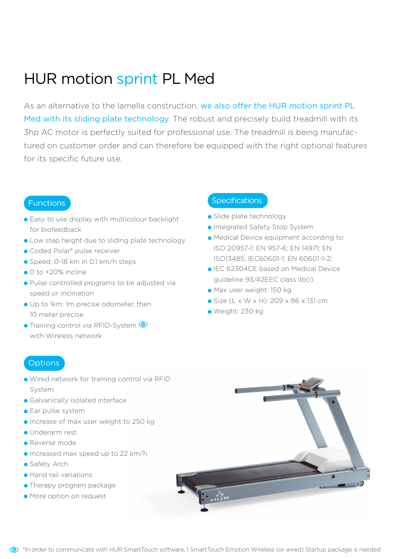### HUR motion sprint PL Med

As an alternative to the lamella construction, we also offer the HUR motion sprint PL Med with its sliding plate technology. The robust and precisely build treadmill with its 3hp AC motor is perfectly suited for professional use. The treadmill is being manufactured on customer order and can therefore be equipped with the right optional features for its specific future use.

#### Functions

- **Easy to use display with multicolour backlight** for biofeedback
- Low step height due to sliding plate technology
- Coded Polar<sup>®</sup> pulse receiver
- Speed: 0-18 km in 0.1 km/h steps
- $\bullet$  0 to +20% incline
- Pulse controlled programs to be adjusted via speed or inclination
- Up to 1km: 1m precise odometer, then 10 meter precise
- **Training control via RFID-System ©** with Wireless network

### **Specifications**

- Slide plate technology
- **Integrated Safety Stop System**
- Medical Device equipment according to: ISO 20957-1; EN 957-6; EN 14971; EN ISO13485; IEC60601-1; EN 60601-1-2;
- IEC 62304CE based on Medical Device guideline 93/42EEC class IIb(i)
- Max user weight: 150 kg
- Size (L x W x H): 209 x 86 x 131 cm
- Weight: 230 kg

#### **Options**

- Wired network for training control via RFID System
- **Galvanically isolated interface**
- **Ear pulse system**
- **Increase of max user weight to 250 kg**
- Underarm rest
- Reverse mode
- Increased max speed up to 22 km/h
- **Safety Arch**
- Hand rail variations
- Therapy program package
- More option on request

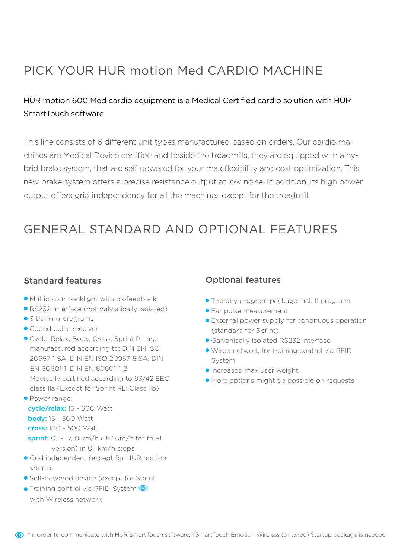### PICK YOUR HUR motion Med CARDIO MACHINE

### HUR motion 600 Med cardio equipment is a Medical Certified cardio solution with HUR SmartTouch software

This line consists of 6 different unit types manufactured based on orders. Our cardio machines are Medical Device certified and beside the treadmills, they are equipped with a hybrid brake system, that are self powered for your max flexibility and cost optimization. This new brake system offers a precise resistance output at low noise. In addition, its high power output offers grid independency for all the machines except for the treadmill.

### GENERAL STANDARD AND OPTIONAL FEATURES

### Standard features

- Multicolour backlight with biofeedback
- RS232-interface (not galvanically isolated)
- 3 training programs
- Coded pulse receiver
- Cycle, Relax, Body, Cross, Sprint PL are manufactured according to: DIN EN ISO 20957-1 SA, DIN EN ISO 20957-5 SA, DIN EN 60601-1, DIN EN 60601-1-2 Medically certified according to 93/42 EEC class IIa (Except for Sprint PL: Class IIb)

**• Power range:**  cycle/relax: 15 - 500 Watt body: 15 - 500 Watt cross: 100 - 500 Watt sprint: 0,1 - 17, 0 km/h (18,0km/h for th PL version) in 0,1 km/h steps

- **Grid independent (except for HUR motion)** sprint)
- Self-powered device (except for Sprint
- **Training control via RFID-System <sup>to</sup>** with Wireless network

### Optional features

- Therapy program package incl. 11 programs
- **Ear pulse measurement**
- External power supply for continuous operation (standard for Sprint)
- Galvanically isolated RS232 interface
- Wired network for training control via RFID System
- **Increased max user weight**
- More options might be possible on requests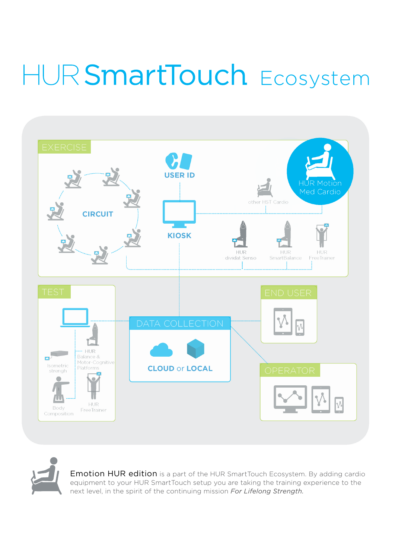# HUR SmartTouch Ecosystem



Emotion HUR edition is a part of the HUR SmartTouch Ecosystem. By adding cardio equipment to your HUR SmartTouch setup you are taking the training experience to the next level, in the spirit of the continuing mission *For Lifelong Strength.*